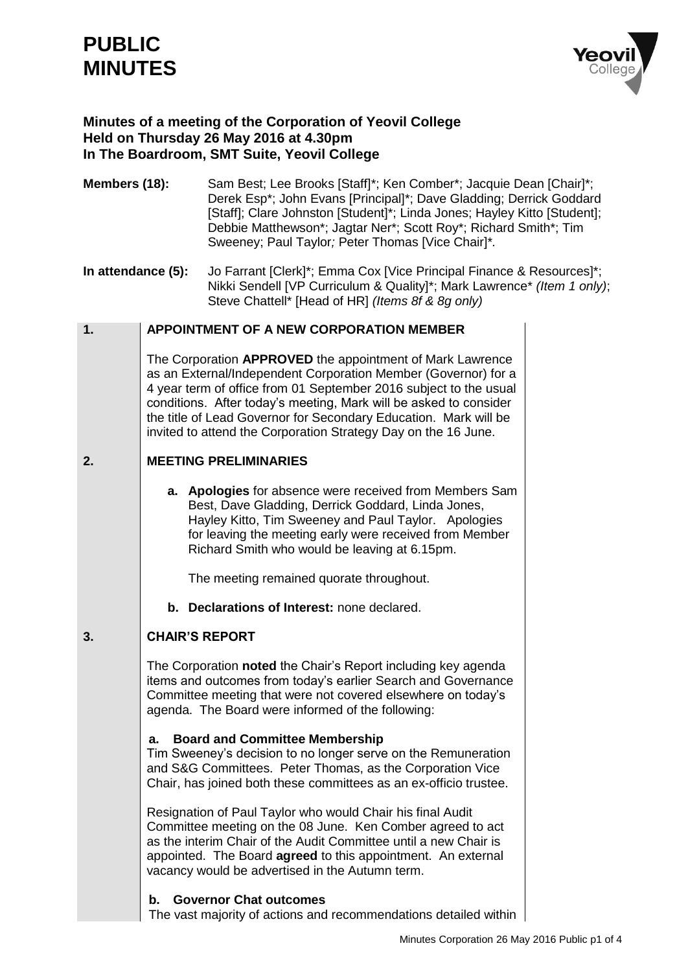# **PUBLIC MINUTES**



# **Minutes of a meeting of the Corporation of Yeovil College Held on Thursday 26 May 2016 at 4.30pm In The Boardroom, SMT Suite, Yeovil College**

- **Members (18):** Sam Best: Lee Brooks [Staff]\*: Ken Comber\*: Jacquie Dean [Chair]\*: Derek Esp\*; John Evans [Principal]\*; Dave Gladding; Derrick Goddard [Staff]; Clare Johnston [Student]\*; Linda Jones; Hayley Kitto [Student]; Debbie Matthewson\*; Jagtar Ner\*; Scott Roy\*; Richard Smith\*; Tim Sweeney; Paul Taylor*;* Peter Thomas [Vice Chair]\**.*
- **In attendance (5):** Jo Farrant [Clerk]<sup>\*</sup>; Emma Cox [Vice Principal Finance & Resources]<sup>\*</sup>; Nikki Sendell [VP Curriculum & Quality]\*; Mark Lawrence\* *(Item 1 only)*; Steve Chattell\* [Head of HR] *(Items 8f & 8g only)*

#### **1. APPOINTMENT OF A NEW CORPORATION MEMBER**

The Corporation **APPROVED** the appointment of Mark Lawrence as an External/Independent Corporation Member (Governor) for a 4 year term of office from 01 September 2016 subject to the usual conditions. After today's meeting, Mark will be asked to consider the title of Lead Governor for Secondary Education. Mark will be invited to attend the Corporation Strategy Day on the 16 June.

#### **2. MEETING PRELIMINARIES**

**a. Apologies** for absence were received from Members Sam Best, Dave Gladding, Derrick Goddard, Linda Jones, Hayley Kitto, Tim Sweeney and Paul Taylor. Apologies for leaving the meeting early were received from Member Richard Smith who would be leaving at 6.15pm.

The meeting remained quorate throughout.

**b. Declarations of Interest:** none declared.

#### **3. CHAIR'S REPORT**

The Corporation **noted** the Chair's Report including key agenda items and outcomes from today's earlier Search and Governance Committee meeting that were not covered elsewhere on today's agenda. The Board were informed of the following:

# **a. Board and Committee Membership**

Tim Sweeney's decision to no longer serve on the Remuneration and S&G Committees. Peter Thomas, as the Corporation Vice Chair, has joined both these committees as an ex-officio trustee.

Resignation of Paul Taylor who would Chair his final Audit Committee meeting on the 08 June. Ken Comber agreed to act as the interim Chair of the Audit Committee until a new Chair is appointed. The Board **agreed** to this appointment. An external vacancy would be advertised in the Autumn term.

# **b. Governor Chat outcomes**

The vast majority of actions and recommendations detailed within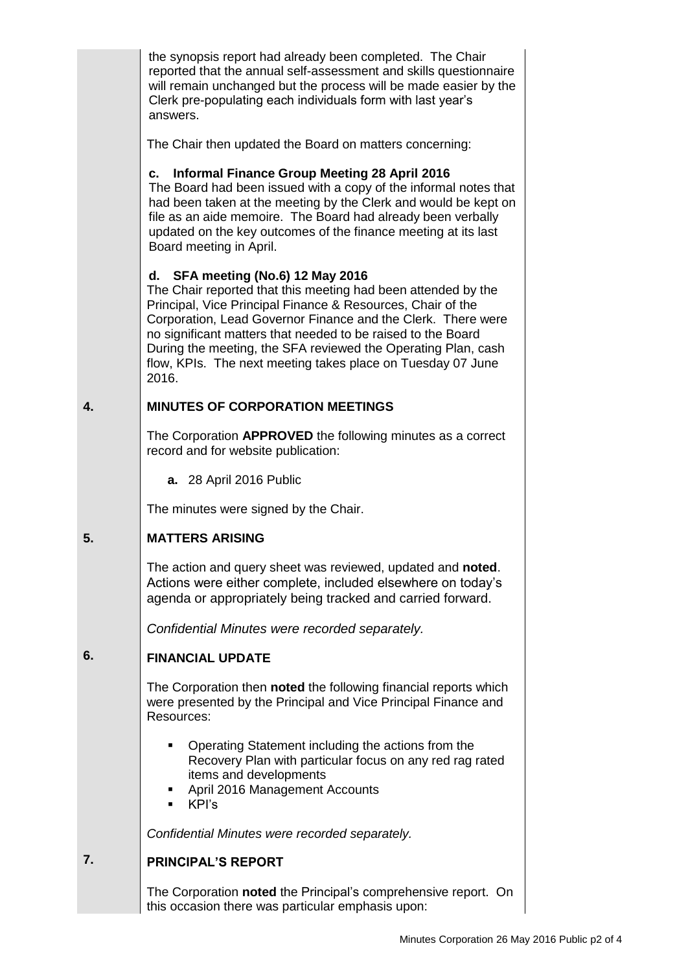the synopsis report had already been completed. The Chair reported that the annual self-assessment and skills questionnaire will remain unchanged but the process will be made easier by the Clerk pre-populating each individuals form with last year's answers.

The Chair then updated the Board on matters concerning:

# **c. Informal Finance Group Meeting 28 April 2016**

The Board had been issued with a copy of the informal notes that had been taken at the meeting by the Clerk and would be kept on file as an aide memoire. The Board had already been verbally updated on the key outcomes of the finance meeting at its last Board meeting in April.

# **d. SFA meeting (No.6) 12 May 2016**

The Chair reported that this meeting had been attended by the Principal, Vice Principal Finance & Resources, Chair of the Corporation, Lead Governor Finance and the Clerk. There were no significant matters that needed to be raised to the Board During the meeting, the SFA reviewed the Operating Plan, cash flow, KPIs. The next meeting takes place on Tuesday 07 June 2016.

#### **4. MINUTES OF CORPORATION MEETINGS**

The Corporation **APPROVED** the following minutes as a correct record and for website publication:

**a.** 28 April 2016 Public

The minutes were signed by the Chair.

#### **5. MATTERS ARISING**

The action and query sheet was reviewed, updated and **noted**. Actions were either complete, included elsewhere on today's agenda or appropriately being tracked and carried forward.

*Confidential Minutes were recorded separately.*

#### **6. FINANCIAL UPDATE**

The Corporation then **noted** the following financial reports which were presented by the Principal and Vice Principal Finance and Resources:

- Operating Statement including the actions from the Recovery Plan with particular focus on any red rag rated items and developments
- April 2016 Management Accounts
- $KPI's$

*Confidential Minutes were recorded separately.*

#### **7. PRINCIPAL'S REPORT**

The Corporation **noted** the Principal's comprehensive report. On this occasion there was particular emphasis upon: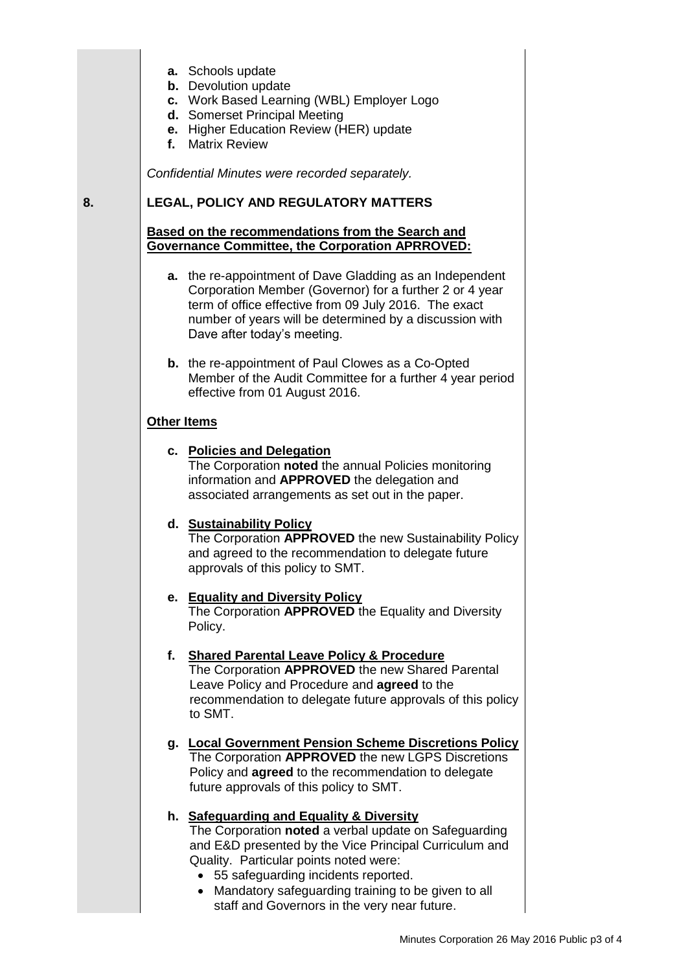- **a.** Schools update
- **b.** Devolution update
- **c.** Work Based Learning (WBL) Employer Logo
- **d.** Somerset Principal Meeting
- **e.** Higher Education Review (HER) update
- **f.** Matrix Review

*Confidential Minutes were recorded separately.*

## **8. LEGAL, POLICY AND REGULATORY MATTERS**

### **Based on the recommendations from the Search and Governance Committee, the Corporation APRROVED:**

- **a.** the re-appointment of Dave Gladding as an Independent Corporation Member (Governor) for a further 2 or 4 year term of office effective from 09 July 2016. The exact number of years will be determined by a discussion with Dave after today's meeting.
- **b.** the re-appointment of Paul Clowes as a Co-Opted Member of the Audit Committee for a further 4 year period effective from 01 August 2016.

# **Other Items**

# **c. Policies and Delegation**

The Corporation **noted** the annual Policies monitoring information and **APPROVED** the delegation and associated arrangements as set out in the paper.

### **d. Sustainability Policy**

The Corporation **APPROVED** the new Sustainability Policy and agreed to the recommendation to delegate future approvals of this policy to SMT.

### **e. Equality and Diversity Policy**

The Corporation **APPROVED** the Equality and Diversity Policy.

### **f. Shared Parental Leave Policy & Procedure**

The Corporation **APPROVED** the new Shared Parental Leave Policy and Procedure and **agreed** to the recommendation to delegate future approvals of this policy to SMT.

**g. Local Government Pension Scheme Discretions Policy** The Corporation **APPROVED** the new LGPS Discretions Policy and **agreed** to the recommendation to delegate future approvals of this policy to SMT.

### **h. Safeguarding and Equality & Diversity**

The Corporation **noted** a verbal update on Safeguarding and E&D presented by the Vice Principal Curriculum and Quality. Particular points noted were:

- 55 safeguarding incidents reported.
- Mandatory safeguarding training to be given to all staff and Governors in the very near future.